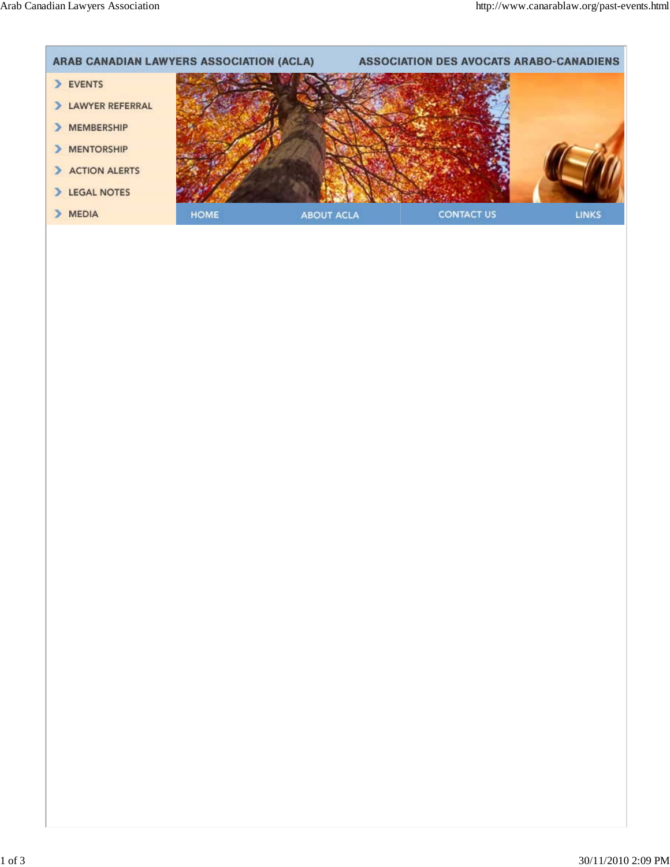Arab Canadian Lawyers Association http://www.canarablaw.org/past-events.html

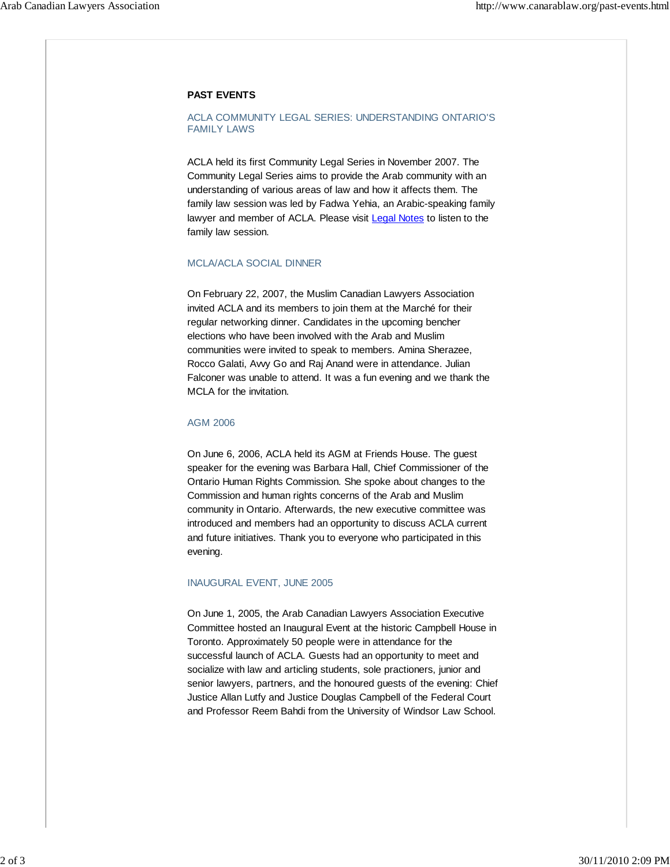# **PAST EVENTS**

## ACLA COMMUNITY LEGAL SERIES: UNDERSTANDING ONTARIO'S FAMILY LAWS

ACLA held its first Community Legal Series in November 2007. The Community Legal Series aims to provide the Arab community with an understanding of various areas of law and how it affects them. The family law session was led by Fadwa Yehia, an Arabic-speaking family lawyer and member of ACLA. Please visit Legal Notes to listen to the family law session.

### MCLA/ACLA SOCIAL DINNER

On February 22, 2007, the Muslim Canadian Lawyers Association invited ACLA and its members to join them at the Marché for their regular networking dinner. Candidates in the upcoming bencher elections who have been involved with the Arab and Muslim communities were invited to speak to members. Amina Sherazee, Rocco Galati, Avvy Go and Raj Anand were in attendance. Julian Falconer was unable to attend. It was a fun evening and we thank the MCLA for the invitation.

### AGM 2006

On June 6, 2006, ACLA held its AGM at Friends House. The guest speaker for the evening was Barbara Hall, Chief Commissioner of the Ontario Human Rights Commission. She spoke about changes to the Commission and human rights concerns of the Arab and Muslim community in Ontario. Afterwards, the new executive committee was introduced and members had an opportunity to discuss ACLA current and future initiatives. Thank you to everyone who participated in this evening.

### INAUGURAL EVENT, JUNE 2005

On June 1, 2005, the Arab Canadian Lawyers Association Executive Committee hosted an Inaugural Event at the historic Campbell House in Toronto. Approximately 50 people were in attendance for the successful launch of ACLA. Guests had an opportunity to meet and socialize with law and articling students, sole practioners, junior and senior lawyers, partners, and the honoured guests of the evening: Chief Justice Allan Lutfy and Justice Douglas Campbell of the Federal Court and Professor Reem Bahdi from the University of Windsor Law School.